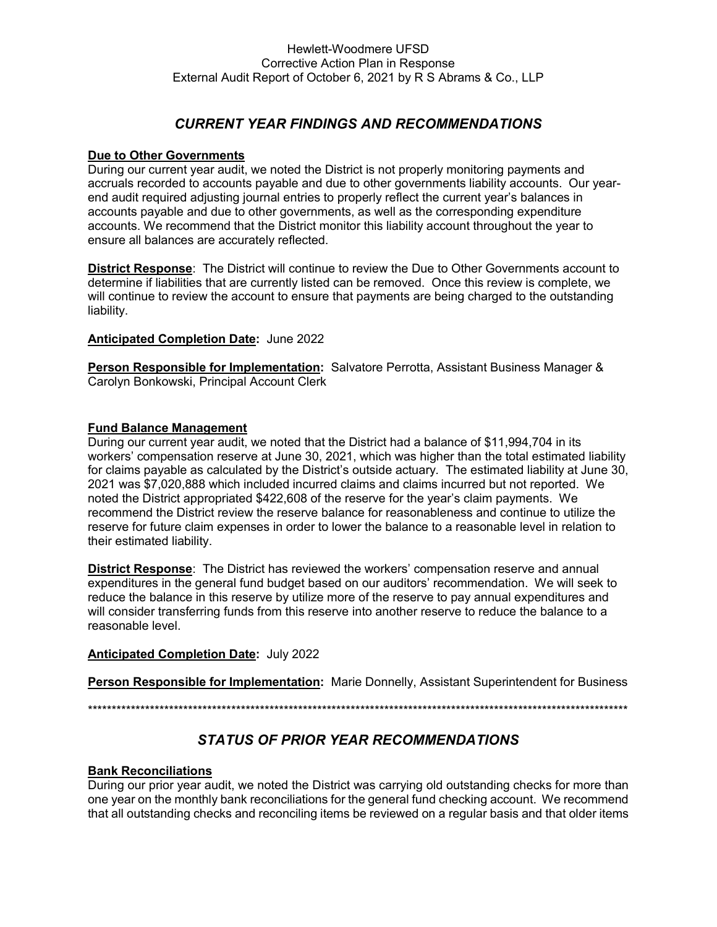# *CURRENT YEAR FINDINGS AND RECOMMENDATIONS*

#### **Due to Other Governments**

During our current year audit, we noted the District is not properly monitoring payments and accruals recorded to accounts payable and due to other governments liability accounts. Our yearend audit required adjusting journal entries to properly reflect the current year's balances in accounts payable and due to other governments, as well as the corresponding expenditure accounts. We recommend that the District monitor this liability account throughout the year to ensure all balances are accurately reflected.

**District Response**: The District will continue to review the Due to Other Governments account to determine if liabilities that are currently listed can be removed. Once this review is complete, we will continue to review the account to ensure that payments are being charged to the outstanding liability.

#### **Anticipated Completion Date:** June 2022

**Person Responsible for Implementation:** Salvatore Perrotta, Assistant Business Manager & Carolyn Bonkowski, Principal Account Clerk

# **Fund Balance Management**

During our current year audit, we noted that the District had a balance of \$11,994,704 in its workers' compensation reserve at June 30, 2021, which was higher than the total estimated liability for claims payable as calculated by the District's outside actuary*.* The estimated liability at June 30, 2021 was \$7,020,888 which included incurred claims and claims incurred but not reported. We noted the District appropriated \$422,608 of the reserve for the year's claim payments. We recommend the District review the reserve balance for reasonableness and continue to utilize the reserve for future claim expenses in order to lower the balance to a reasonable level in relation to their estimated liability.

**District Response**: The District has reviewed the workers' compensation reserve and annual expenditures in the general fund budget based on our auditors' recommendation. We will seek to reduce the balance in this reserve by utilize more of the reserve to pay annual expenditures and will consider transferring funds from this reserve into another reserve to reduce the balance to a reasonable level.

# **Anticipated Completion Date:** July 2022

**Person Responsible for Implementation:** Marie Donnelly, Assistant Superintendent for Business

\*\*\*\*\*\*\*\*\*\*\*\*\*\*\*\*\*\*\*\*\*\*\*\*\*\*\*\*\*\*\*\*\*\*\*\*\*\*\*\*\*\*\*\*\*\*\*\*\*\*\*\*\*\*\*\*\*\*\*\*\*\*\*\*\*\*\*\*\*\*\*\*\*\*\*\*\*\*\*\*\*\*\*\*\*\*\*\*\*\*\*\*\*\*\*\*\*\*\*\*\*\*\*\*\*\*\*\*\*\*\*\*\*

# *STATUS OF PRIOR YEAR RECOMMENDATIONS*

# **Bank Reconciliations**

During our prior year audit, we noted the District was carrying old outstanding checks for more than one year on the monthly bank reconciliations for the general fund checking account. We recommend that all outstanding checks and reconciling items be reviewed on a regular basis and that older items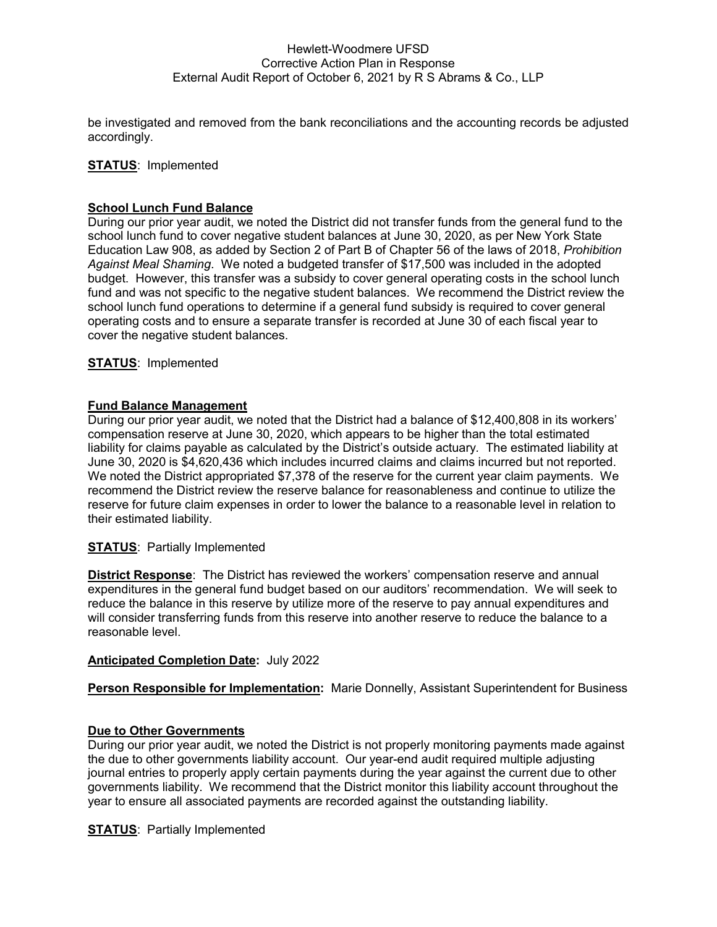# Hewlett-Woodmere UFSD Corrective Action Plan in Response External Audit Report of October 6, 2021 by R S Abrams & Co., LLP

be investigated and removed from the bank reconciliations and the accounting records be adjusted accordingly.

# **STATUS**: Implemented

#### **School Lunch Fund Balance**

During our prior year audit, we noted the District did not transfer funds from the general fund to the school lunch fund to cover negative student balances at June 30, 2020, as per New York State Education Law 908, as added by Section 2 of Part B of Chapter 56 of the laws of 2018, *Prohibition Against Meal Shaming*. We noted a budgeted transfer of \$17,500 was included in the adopted budget. However, this transfer was a subsidy to cover general operating costs in the school lunch fund and was not specific to the negative student balances. We recommend the District review the school lunch fund operations to determine if a general fund subsidy is required to cover general operating costs and to ensure a separate transfer is recorded at June 30 of each fiscal year to cover the negative student balances.

**STATUS**: Implemented

#### **Fund Balance Management**

During our prior year audit, we noted that the District had a balance of \$12,400,808 in its workers' compensation reserve at June 30, 2020, which appears to be higher than the total estimated liability for claims payable as calculated by the District's outside actuary*.* The estimated liability at June 30, 2020 is \$4,620,436 which includes incurred claims and claims incurred but not reported. We noted the District appropriated \$7,378 of the reserve for the current year claim payments. We recommend the District review the reserve balance for reasonableness and continue to utilize the reserve for future claim expenses in order to lower the balance to a reasonable level in relation to their estimated liability.

# **STATUS**: Partially Implemented

**District Response**: The District has reviewed the workers' compensation reserve and annual expenditures in the general fund budget based on our auditors' recommendation. We will seek to reduce the balance in this reserve by utilize more of the reserve to pay annual expenditures and will consider transferring funds from this reserve into another reserve to reduce the balance to a reasonable level.

#### **Anticipated Completion Date:** July 2022

# **Person Responsible for Implementation:** Marie Donnelly, Assistant Superintendent for Business

#### **Due to Other Governments**

During our prior year audit, we noted the District is not properly monitoring payments made against the due to other governments liability account. Our year-end audit required multiple adjusting journal entries to properly apply certain payments during the year against the current due to other governments liability. We recommend that the District monitor this liability account throughout the year to ensure all associated payments are recorded against the outstanding liability.

**STATUS**: Partially Implemented